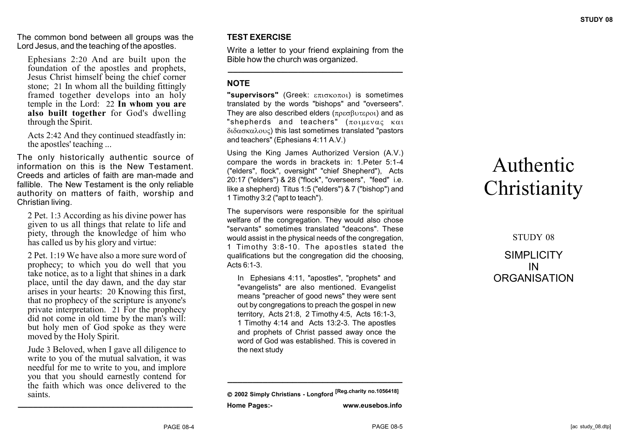The common bond between all groups was the Lord Jesus, and the teaching of the apostles.

Ephesians 2:20 And are built upon the foundation of the apostles and prophets, Jesus Christ himself being the chief corner stone; 21 In whom all the building fittingly framed together develops into an holy temple in the Lord: 22 **In whom you are also built together** for God's dwelling through the Spirit.

Acts 2:42 And they continued steadfastly in: the apostles' teaching ...

The only historically authentic source of information on this is the New Testament. Creeds and articles of faith are man-made and fallible. The New Testament is the only reliable authority on matters of faith, worship and Christian living.

2 Pet. 1:3 According as his divine power has given to us all things that relate to life and piety, through the knowledge of him who has called us by his glory and virtue:

2 Pet. 1:19 We have also a more sure word of prophecy; to which you do well that you take notice, as to a light that shines in a dark place, until the day dawn, and the day star arises in your hearts: 20 Knowing this first, that no prophecy of the scripture is anyone's private interpretation. 21 For the prophecy did not come in old time by the man's will: but holy men of God spoke as they were moved by the Holy Spirit.

Jude 3 Beloved, when I gave all diligence to write to you of the mutual salvation, it was needful for me to write to you, and implore you that you should earnestly contend for the faith which was once delivered to the saints. **\_\_\_\_\_\_\_\_\_\_\_\_\_\_\_\_\_\_\_\_\_\_\_\_\_\_\_\_\_\_\_\_\_\_\_**

### **TEST EXERCISE**

Write a letter to your friend explaining from the Bible how the church was organized. **\_\_\_\_\_\_\_\_\_\_\_\_\_\_\_\_\_\_\_\_\_\_\_\_\_\_\_\_\_\_\_\_\_\_\_**

### **NOTE**

**"supervisors"** (Greek: επισκοποι) is sometimes translated by the words "bishops" and "overseers". They are also described elders  $(\pi \rho \varepsilon \sigma \beta \nu \tau \varepsilon \rho o_1)$  and as "shepherds and teachers"  $(\pi_{01}u_{\epsilon} \times \alpha_{1})$  $\delta$ ιδασκαλους) this last sometimes translated "pastors and teachers" (Ephesians 4:11 A.V.)

Using the King James Authorized Version (A.V.) compare the words in brackets in: 1.Peter 5:1-4 ("elders", flock", oversight" "chief Shepherd"), Acts 20:17 ("elders") & 28 ("flock", "overseers", "feed" i.e. like a shepherd) Titus 1:5 ("elders") & 7 ("bishop") and 1 Timothy 3:2 ("apt to teach").

The supervisors were responsible for the spiritual welfare of the congregation. They would also chose "servants" sometimes translated "deacons". These would assist in the physical needs of the congregation, 1 Timothy 3:8-10. The apostles stated the qualifications but the congregation did the choosing, Acts 6:1-3.

In Ephesians 4:11, "apostles", "prophets" and "evangelists" are also mentioned. Evangelist means "preacher of good news" they were sent out by congregations to preach the gospel in new territory, Acts 21:8, 2 Timothy 4:5, Acts 16:1-3, 1 Timothy 4:14 and Acts 13:2-3. The apostles and prophets of Christ passed away once the word of God was established. This is covered in the next study

 **2002 Simply Christians - Longford [Reg.charity no.1056418] Home Pages:- www.eusebos.info**

**\_\_\_\_\_\_\_\_\_\_\_\_\_\_\_\_\_\_\_\_\_\_\_\_\_\_\_\_\_\_\_\_\_\_\_**

# Authentic **Christianity**

STUDY 08 SIMPI ICITY IN **ORGANISATION**